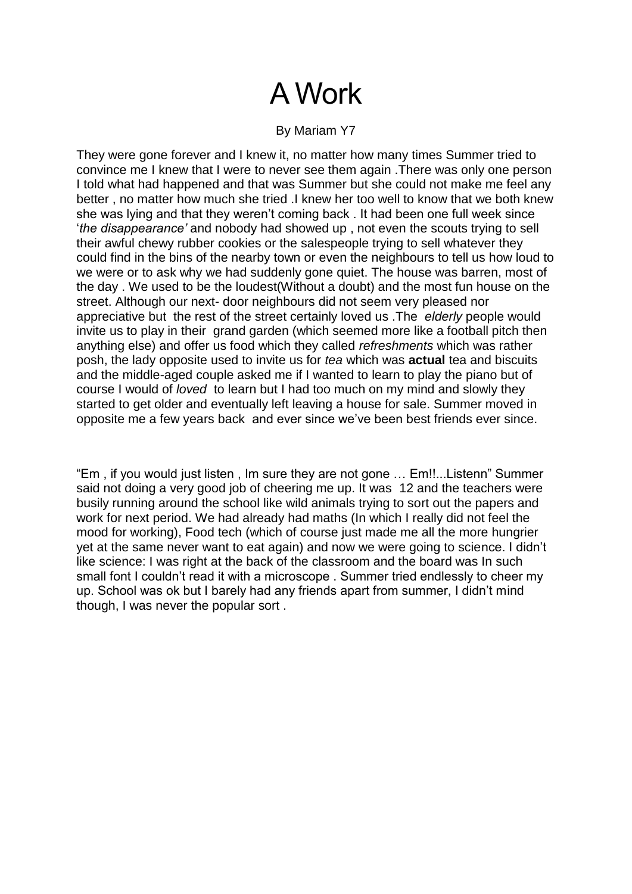# A Work

#### By Mariam Y7

They were gone forever and I knew it, no matter how many times Summer tried to convince me I knew that I were to never see them again .There was only one person I told what had happened and that was Summer but she could not make me feel any better , no matter how much she tried .I knew her too well to know that we both knew she was lying and that they weren't coming back . It had been one full week since '*the disappearance'* and nobody had showed up , not even the scouts trying to sell their awful chewy rubber cookies or the salespeople trying to sell whatever they could find in the bins of the nearby town or even the neighbours to tell us how loud to we were or to ask why we had suddenly gone quiet. The house was barren, most of the day . We used to be the loudest(Without a doubt) and the most fun house on the street. Although our next- door neighbours did not seem very pleased nor appreciative but the rest of the street certainly loved us .The *elderly* people would invite us to play in their grand garden (which seemed more like a football pitch then anything else) and offer us food which they called *refreshments* which was rather posh, the lady opposite used to invite us for *tea* which was **actual** tea and biscuits and the middle-aged couple asked me if I wanted to learn to play the piano but of course I would of *loved* to learn but I had too much on my mind and slowly they started to get older and eventually left leaving a house for sale. Summer moved in opposite me a few years back and ever since we've been best friends ever since.

"Em , if you would just listen , Im sure they are not gone … Em!!...Listenn" Summer said not doing a very good job of cheering me up. It was 12 and the teachers were busily running around the school like wild animals trying to sort out the papers and work for next period. We had already had maths (In which I really did not feel the mood for working), Food tech (which of course just made me all the more hungrier yet at the same never want to eat again) and now we were going to science. I didn't like science: I was right at the back of the classroom and the board was In such small font I couldn't read it with a microscope. Summer tried endlessly to cheer my up. School was ok but I barely had any friends apart from summer, I didn't mind though, I was never the popular sort .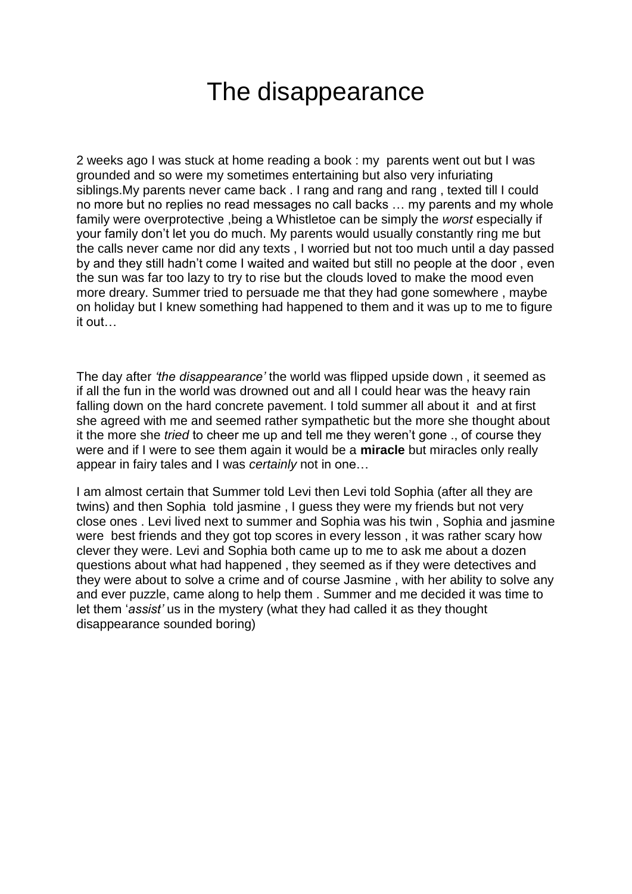### The disappearance

2 weeks ago I was stuck at home reading a book : my parents went out but I was grounded and so were my sometimes entertaining but also very infuriating siblings.My parents never came back . I rang and rang and rang , texted till I could no more but no replies no read messages no call backs … my parents and my whole family were overprotective ,being a Whistletoe can be simply the *worst* especially if your family don't let you do much. My parents would usually constantly ring me but the calls never came nor did any texts , I worried but not too much until a day passed by and they still hadn't come I waited and waited but still no people at the door , even the sun was far too lazy to try to rise but the clouds loved to make the mood even more dreary. Summer tried to persuade me that they had gone somewhere , maybe on holiday but I knew something had happened to them and it was up to me to figure it out…

The day after *'the disappearance'* the world was flipped upside down , it seemed as if all the fun in the world was drowned out and all I could hear was the heavy rain falling down on the hard concrete pavement. I told summer all about it and at first she agreed with me and seemed rather sympathetic but the more she thought about it the more she *tried* to cheer me up and tell me they weren't gone ., of course they were and if I were to see them again it would be a **miracle** but miracles only really appear in fairy tales and I was *certainly* not in one…

I am almost certain that Summer told Levi then Levi told Sophia (after all they are twins) and then Sophia told jasmine , I guess they were my friends but not very close ones . Levi lived next to summer and Sophia was his twin , Sophia and jasmine were best friends and they got top scores in every lesson , it was rather scary how clever they were. Levi and Sophia both came up to me to ask me about a dozen questions about what had happened , they seemed as if they were detectives and they were about to solve a crime and of course Jasmine , with her ability to solve any and ever puzzle, came along to help them . Summer and me decided it was time to let them '*assist'* us in the mystery (what they had called it as they thought disappearance sounded boring)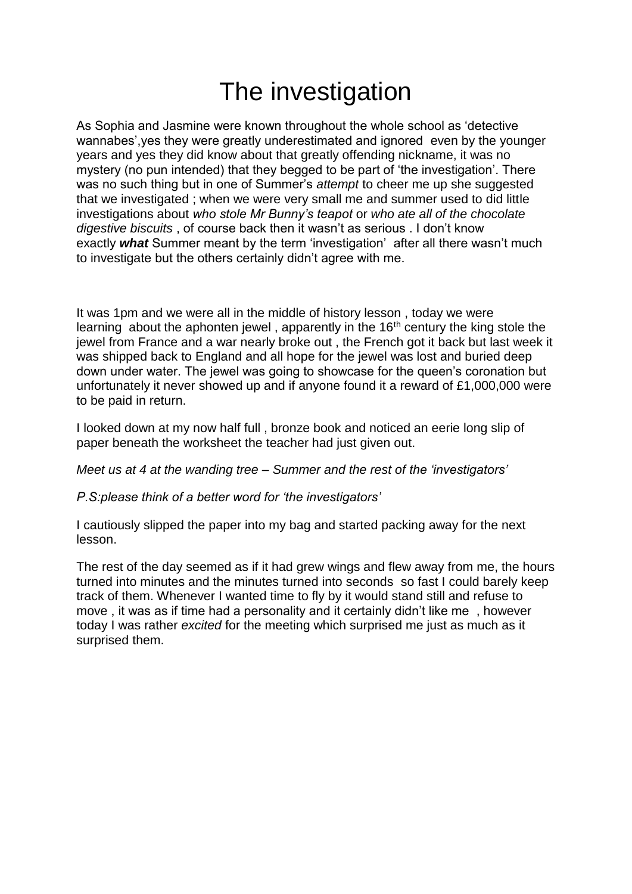## The investigation

As Sophia and Jasmine were known throughout the whole school as 'detective wannabes',yes they were greatly underestimated and ignored even by the younger years and yes they did know about that greatly offending nickname, it was no mystery (no pun intended) that they begged to be part of 'the investigation'. There was no such thing but in one of Summer's *attempt* to cheer me up she suggested that we investigated ; when we were very small me and summer used to did little investigations about *who stole Mr Bunny's teapot* or *who ate all of the chocolate digestive biscuits* , of course back then it wasn't as serious . I don't know exactly *what* Summer meant by the term 'investigation' after all there wasn't much to investigate but the others certainly didn't agree with me.

It was 1pm and we were all in the middle of history lesson , today we were learning about the aphonten jewel, apparently in the 16<sup>th</sup> century the king stole the jewel from France and a war nearly broke out , the French got it back but last week it was shipped back to England and all hope for the jewel was lost and buried deep down under water. The jewel was going to showcase for the queen's coronation but unfortunately it never showed up and if anyone found it a reward of £1,000,000 were to be paid in return.

I looked down at my now half full , bronze book and noticed an eerie long slip of paper beneath the worksheet the teacher had just given out.

*Meet us at 4 at the wanding tree – Summer and the rest of the 'investigators'*

#### *P.S:please think of a better word for 'the investigators'*

I cautiously slipped the paper into my bag and started packing away for the next lesson.

The rest of the day seemed as if it had grew wings and flew away from me, the hours turned into minutes and the minutes turned into seconds so fast I could barely keep track of them. Whenever I wanted time to fly by it would stand still and refuse to move , it was as if time had a personality and it certainly didn't like me , however today I was rather *excited* for the meeting which surprised me just as much as it surprised them.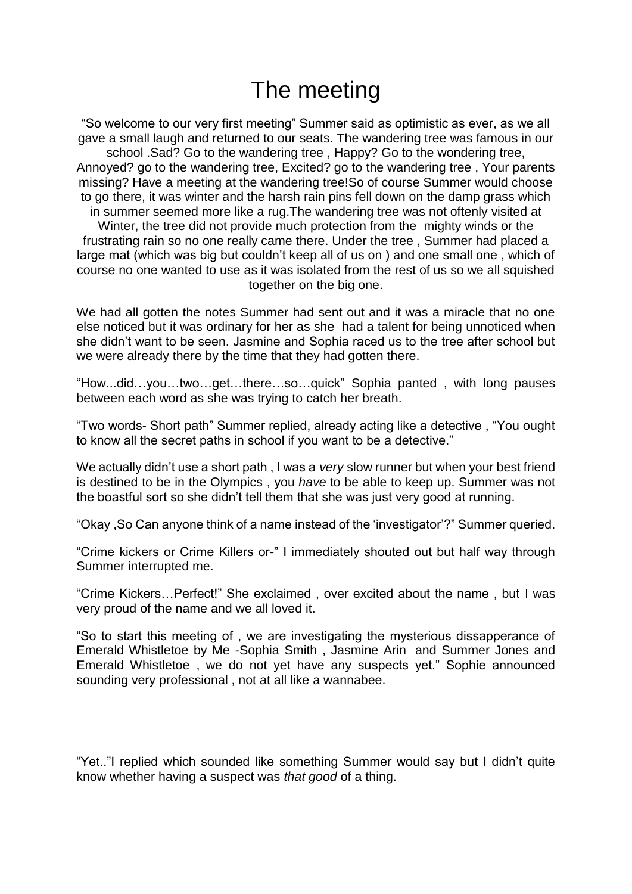#### The meeting

"So welcome to our very first meeting" Summer said as optimistic as ever, as we all gave a small laugh and returned to our seats. The wandering tree was famous in our school .Sad? Go to the wandering tree , Happy? Go to the wondering tree, Annoyed? go to the wandering tree, Excited? go to the wandering tree , Your parents missing? Have a meeting at the wandering tree!So of course Summer would choose to go there, it was winter and the harsh rain pins fell down on the damp grass which in summer seemed more like a rug.The wandering tree was not oftenly visited at Winter, the tree did not provide much protection from the mighty winds or the frustrating rain so no one really came there. Under the tree , Summer had placed a large mat (which was big but couldn't keep all of us on ) and one small one , which of course no one wanted to use as it was isolated from the rest of us so we all squished together on the big one.

We had all gotten the notes Summer had sent out and it was a miracle that no one else noticed but it was ordinary for her as she had a talent for being unnoticed when she didn't want to be seen. Jasmine and Sophia raced us to the tree after school but we were already there by the time that they had gotten there.

"How...did…you…two…get…there…so…quick" Sophia panted , with long pauses between each word as she was trying to catch her breath.

"Two words- Short path" Summer replied, already acting like a detective , "You ought to know all the secret paths in school if you want to be a detective."

We actually didn't use a short path , I was a *very* slow runner but when your best friend is destined to be in the Olympics , you *have* to be able to keep up. Summer was not the boastful sort so she didn't tell them that she was just very good at running.

"Okay ,So Can anyone think of a name instead of the 'investigator'?" Summer queried.

"Crime kickers or Crime Killers or-" I immediately shouted out but half way through Summer interrupted me.

"Crime Kickers…Perfect!" She exclaimed , over excited about the name , but I was very proud of the name and we all loved it.

"So to start this meeting of , we are investigating the mysterious dissapperance of Emerald Whistletoe by Me -Sophia Smith , Jasmine Arin and Summer Jones and Emerald Whistletoe , we do not yet have any suspects yet." Sophie announced sounding very professional , not at all like a wannabee.

"Yet.."I replied which sounded like something Summer would say but I didn't quite know whether having a suspect was *that good* of a thing.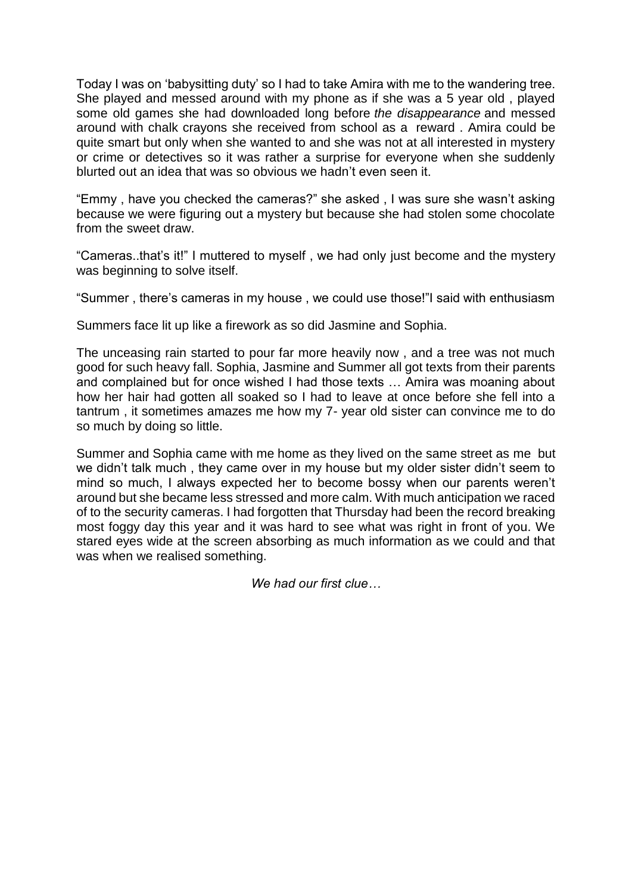Today I was on 'babysitting duty' so I had to take Amira with me to the wandering tree. She played and messed around with my phone as if she was a 5 year old , played some old games she had downloaded long before *the disappearance* and messed around with chalk crayons she received from school as a reward . Amira could be quite smart but only when she wanted to and she was not at all interested in mystery or crime or detectives so it was rather a surprise for everyone when she suddenly blurted out an idea that was so obvious we hadn't even seen it.

"Emmy , have you checked the cameras?" she asked , I was sure she wasn't asking because we were figuring out a mystery but because she had stolen some chocolate from the sweet draw.

"Cameras..that's it!" I muttered to myself , we had only just become and the mystery was beginning to solve itself.

"Summer , there's cameras in my house , we could use those!"I said with enthusiasm

Summers face lit up like a firework as so did Jasmine and Sophia.

The unceasing rain started to pour far more heavily now , and a tree was not much good for such heavy fall. Sophia, Jasmine and Summer all got texts from their parents and complained but for once wished I had those texts … Amira was moaning about how her hair had gotten all soaked so I had to leave at once before she fell into a tantrum , it sometimes amazes me how my 7- year old sister can convince me to do so much by doing so little.

Summer and Sophia came with me home as they lived on the same street as me but we didn't talk much , they came over in my house but my older sister didn't seem to mind so much, I always expected her to become bossy when our parents weren't around but she became less stressed and more calm. With much anticipation we raced of to the security cameras. I had forgotten that Thursday had been the record breaking most foggy day this year and it was hard to see what was right in front of you. We stared eyes wide at the screen absorbing as much information as we could and that was when we realised something.

*We had our first clue…*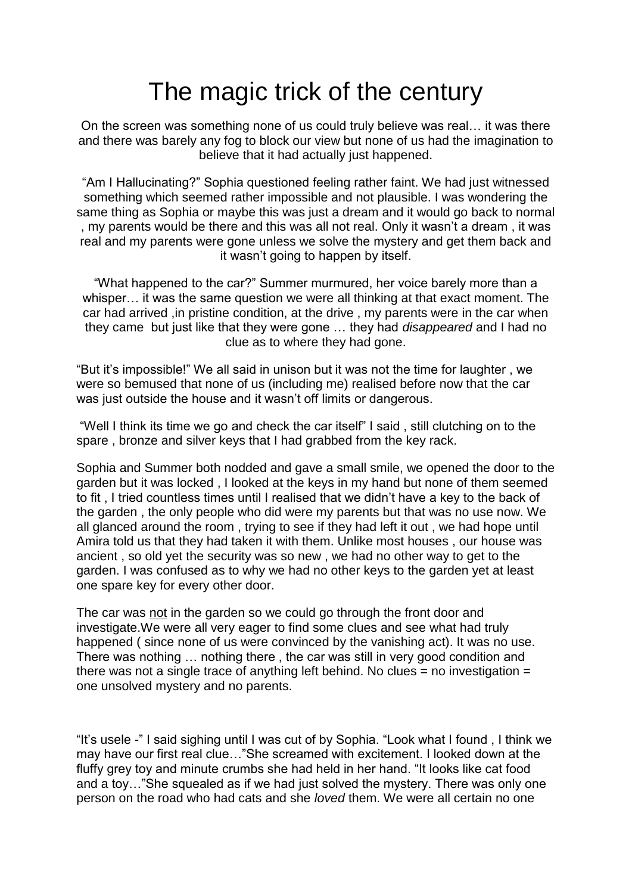## The magic trick of the century

On the screen was something none of us could truly believe was real… it was there and there was barely any fog to block our view but none of us had the imagination to believe that it had actually just happened.

"Am I Hallucinating?" Sophia questioned feeling rather faint. We had just witnessed something which seemed rather impossible and not plausible. I was wondering the same thing as Sophia or maybe this was just a dream and it would go back to normal , my parents would be there and this was all not real. Only it wasn't a dream , it was real and my parents were gone unless we solve the mystery and get them back and it wasn't going to happen by itself.

"What happened to the car?" Summer murmured, her voice barely more than a whisper… it was the same question we were all thinking at that exact moment. The car had arrived ,in pristine condition, at the drive , my parents were in the car when they came but just like that they were gone … they had *disappeared* and I had no clue as to where they had gone.

"But it's impossible!" We all said in unison but it was not the time for laughter , we were so bemused that none of us (including me) realised before now that the car was just outside the house and it wasn't off limits or dangerous.

"Well I think its time we go and check the car itself" I said , still clutching on to the spare , bronze and silver keys that I had grabbed from the key rack.

Sophia and Summer both nodded and gave a small smile, we opened the door to the garden but it was locked , I looked at the keys in my hand but none of them seemed to fit , I tried countless times until I realised that we didn't have a key to the back of the garden , the only people who did were my parents but that was no use now. We all glanced around the room , trying to see if they had left it out , we had hope until Amira told us that they had taken it with them. Unlike most houses , our house was ancient , so old yet the security was so new , we had no other way to get to the garden. I was confused as to why we had no other keys to the garden yet at least one spare key for every other door.

The car was not in the garden so we could go through the front door and investigate.We were all very eager to find some clues and see what had truly happened ( since none of us were convinced by the vanishing act). It was no use. There was nothing … nothing there , the car was still in very good condition and there was not a single trace of anything left behind. No clues  $=$  no investigation  $=$ one unsolved mystery and no parents.

"It's usele -" I said sighing until I was cut of by Sophia. "Look what I found , I think we may have our first real clue…"She screamed with excitement. I looked down at the fluffy grey toy and minute crumbs she had held in her hand. "It looks like cat food and a toy…"She squealed as if we had just solved the mystery. There was only one person on the road who had cats and she *loved* them. We were all certain no one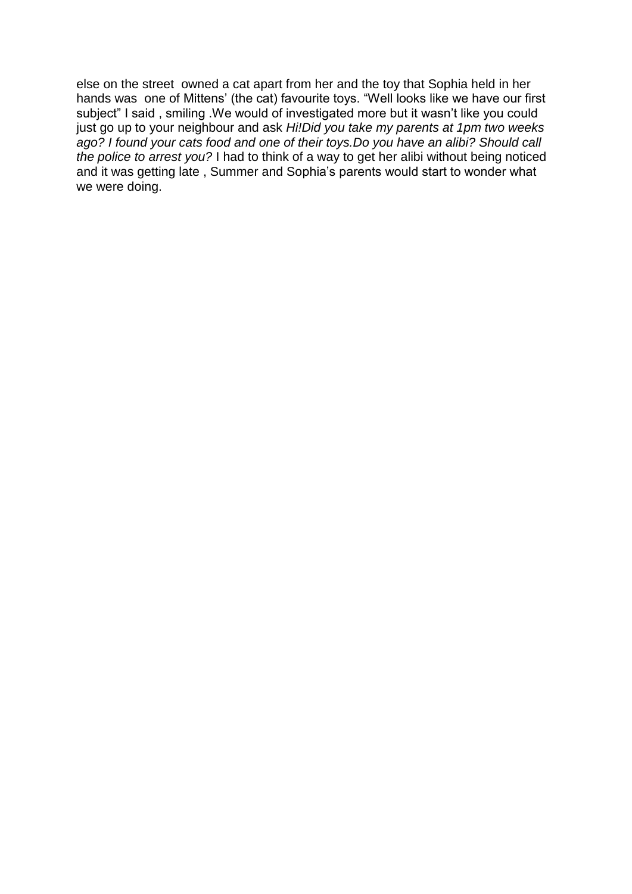else on the street owned a cat apart from her and the toy that Sophia held in her hands was one of Mittens' (the cat) favourite toys. "Well looks like we have our first subject" I said, smiling .We would of investigated more but it wasn't like you could just go up to your neighbour and ask *Hi!Did you take my parents at 1pm two weeks ago? I found your cats food and one of their toys.Do you have an alibi? Should call the police to arrest you?* I had to think of a way to get her alibi without being noticed and it was getting late , Summer and Sophia's parents would start to wonder what we were doing.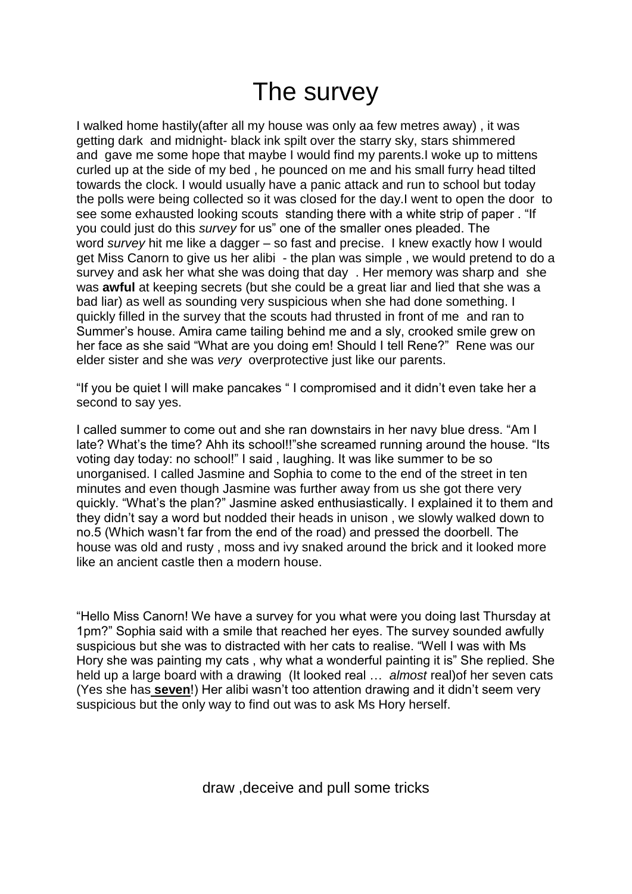#### The survey

I walked home hastily(after all my house was only aa few metres away) , it was getting dark and midnight- black ink spilt over the starry sky, stars shimmered and gave me some hope that maybe I would find my parents.I woke up to mittens curled up at the side of my bed , he pounced on me and his small furry head tilted towards the clock. I would usually have a panic attack and run to school but today the polls were being collected so it was closed for the day.I went to open the door to see some exhausted looking scouts standing there with a white strip of paper . "If you could just do this *survey* for us" one of the smaller ones pleaded. The word *survey* hit me like a dagger – so fast and precise. I knew exactly how I would get Miss Canorn to give us her alibi - the plan was simple , we would pretend to do a survey and ask her what she was doing that day . Her memory was sharp and she was **awful** at keeping secrets (but she could be a great liar and lied that she was a bad liar) as well as sounding very suspicious when she had done something. I quickly filled in the survey that the scouts had thrusted in front of me and ran to Summer's house. Amira came tailing behind me and a sly, crooked smile grew on her face as she said "What are you doing em! Should I tell Rene?" Rene was our elder sister and she was *very* overprotective just like our parents.

"If you be quiet I will make pancakes " I compromised and it didn't even take her a second to say yes.

I called summer to come out and she ran downstairs in her navy blue dress. "Am I late? What's the time? Ahh its school!!"she screamed running around the house. "Its voting day today: no school!" I said , laughing. It was like summer to be so unorganised. I called Jasmine and Sophia to come to the end of the street in ten minutes and even though Jasmine was further away from us she got there very quickly. "What's the plan?" Jasmine asked enthusiastically. I explained it to them and they didn't say a word but nodded their heads in unison , we slowly walked down to no.5 (Which wasn't far from the end of the road) and pressed the doorbell. The house was old and rusty , moss and ivy snaked around the brick and it looked more like an ancient castle then a modern house.

"Hello Miss Canorn! We have a survey for you what were you doing last Thursday at 1pm?" Sophia said with a smile that reached her eyes. The survey sounded awfully suspicious but she was to distracted with her cats to realise. "Well I was with Ms Hory she was painting my cats , why what a wonderful painting it is" She replied. She held up a large board with a drawing (It looked real … *almost* real)of her seven cats (Yes she has **seven**!) Her alibi wasn't too attention drawing and it didn't seem very suspicious but the only way to find out was to ask Ms Hory herself.

draw ,deceive and pull some tricks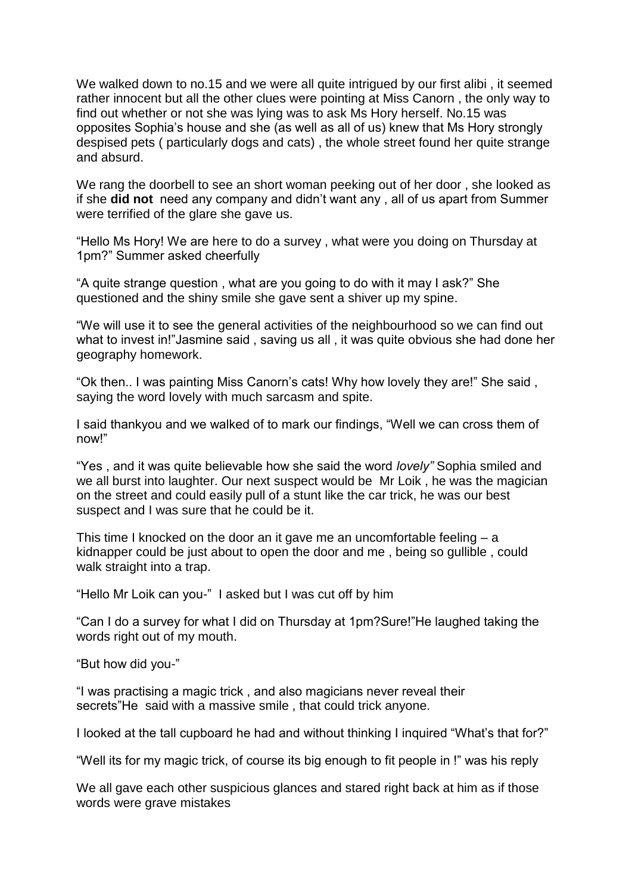We walked down to no.15 and we were all quite intrigued by our first alibi, it seemed rather innocent but all the other clues were pointing at Miss Canorn , the only way to find out whether or not she was lying was to ask Ms Hory herself. No.15 was opposites Sophia's house and she (as well as all of us) knew that Ms Hory strongly despised pets ( particularly dogs and cats) , the whole street found her quite strange and absurd.

We rang the doorbell to see an short woman peeking out of her door , she looked as if she **did not** need any company and didn't want any , all of us apart from Summer were terrified of the glare she gave us.

"Hello Ms Hory! We are here to do a survey , what were you doing on Thursday at 1pm?" Summer asked cheerfully

"A quite strange question , what are you going to do with it may I ask?" She questioned and the shiny smile she gave sent a shiver up my spine.

"We will use it to see the general activities of the neighbourhood so we can find out what to invest in!"Jasmine said , saving us all , it was quite obvious she had done her geography homework.

"Ok then.. I was painting Miss Canorn's cats! Why how lovely they are!" She said , saying the word lovely with much sarcasm and spite.

I said thankyou and we walked of to mark our findings, "Well we can cross them of now!"

"Yes , and it was quite believable how she said the word *lovely"* Sophia smiled and we all burst into laughter. Our next suspect would be Mr Loik , he was the magician on the street and could easily pull of a stunt like the car trick, he was our best suspect and I was sure that he could be it.

This time I knocked on the door an it gave me an uncomfortable feeling  $- a$ kidnapper could be just about to open the door and me , being so gullible , could walk straight into a trap.

"Hello Mr Loik can you-" I asked but I was cut off by him

"Can I do a survey for what I did on Thursday at 1pm?Sure!"He laughed taking the words right out of my mouth.

"But how did you-"

"I was practising a magic trick , and also magicians never reveal their secrets"He said with a massive smile , that could trick anyone.

I looked at the tall cupboard he had and without thinking I inquired "What's that for?"

"Well its for my magic trick, of course its big enough to fit people in !" was his reply

We all gave each other suspicious glances and stared right back at him as if those words were grave mistakes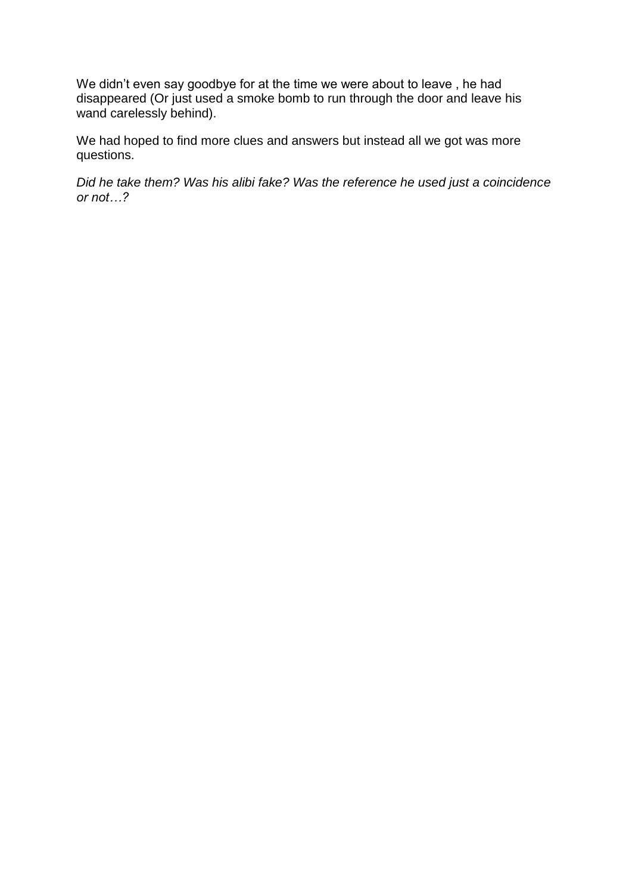We didn't even say goodbye for at the time we were about to leave , he had disappeared (Or just used a smoke bomb to run through the door and leave his wand carelessly behind).

We had hoped to find more clues and answers but instead all we got was more questions.

*Did he take them? Was his alibi fake? Was the reference he used just a coincidence or not…?*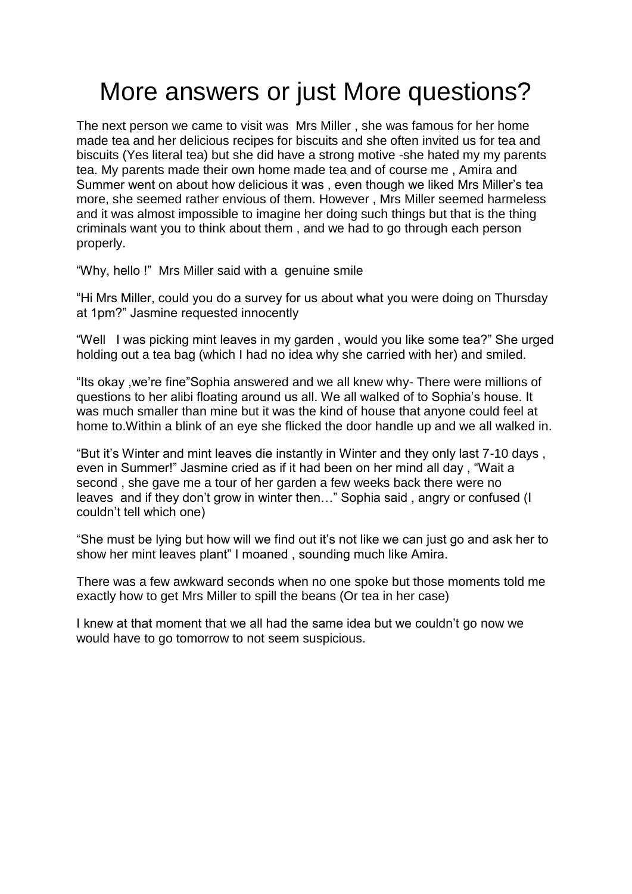## More answers or just More questions?

The next person we came to visit was Mrs Miller , she was famous for her home made tea and her delicious recipes for biscuits and she often invited us for tea and biscuits (Yes literal tea) but she did have a strong motive -she hated my my parents tea. My parents made their own home made tea and of course me , Amira and Summer went on about how delicious it was , even though we liked Mrs Miller's tea more, she seemed rather envious of them. However , Mrs Miller seemed harmeless and it was almost impossible to imagine her doing such things but that is the thing criminals want you to think about them , and we had to go through each person properly.

"Why, hello !" Mrs Miller said with a genuine smile

"Hi Mrs Miller, could you do a survey for us about what you were doing on Thursday at 1pm?" Jasmine requested innocently

"Well I was picking mint leaves in my garden , would you like some tea?" She urged holding out a tea bag (which I had no idea why she carried with her) and smiled.

"Its okay ,we're fine"Sophia answered and we all knew why- There were millions of questions to her alibi floating around us all. We all walked of to Sophia's house. It was much smaller than mine but it was the kind of house that anyone could feel at home to.Within a blink of an eye she flicked the door handle up and we all walked in.

"But it's Winter and mint leaves die instantly in Winter and they only last 7-10 days , even in Summer!" Jasmine cried as if it had been on her mind all day , "Wait a second , she gave me a tour of her garden a few weeks back there were no leaves and if they don't grow in winter then..." Sophia said, angry or confused (I couldn't tell which one)

"She must be lying but how will we find out it's not like we can just go and ask her to show her mint leaves plant" I moaned , sounding much like Amira.

There was a few awkward seconds when no one spoke but those moments told me exactly how to get Mrs Miller to spill the beans (Or tea in her case)

I knew at that moment that we all had the same idea but we couldn't go now we would have to go tomorrow to not seem suspicious.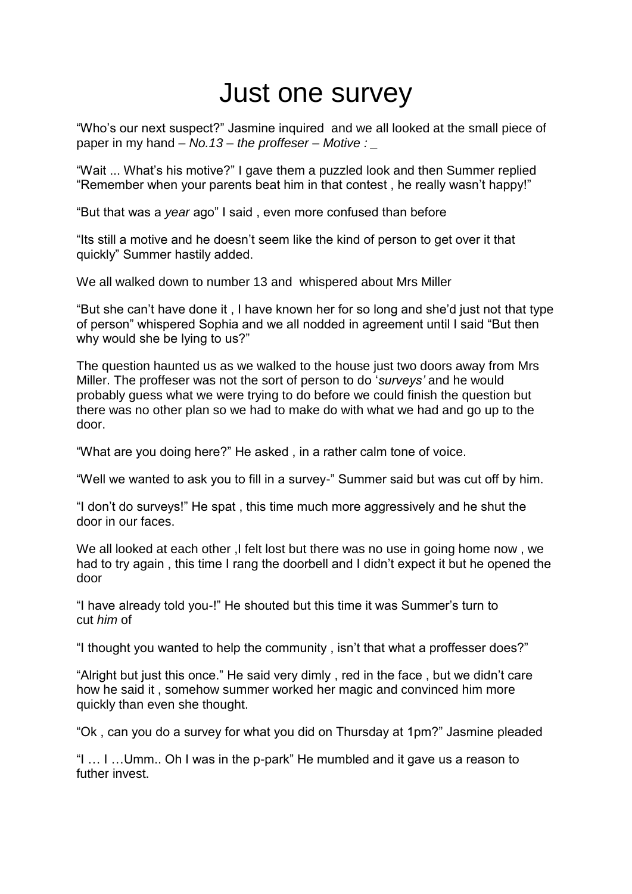# Just one survey

"Who's our next suspect?" Jasmine inquired and we all looked at the small piece of paper in my hand – *No.13 – the proffeser – Motive : \_*

"Wait ... What's his motive?" I gave them a puzzled look and then Summer replied "Remember when your parents beat him in that contest , he really wasn't happy!"

"But that was a *year* ago" I said , even more confused than before

"Its still a motive and he doesn't seem like the kind of person to get over it that quickly" Summer hastily added.

We all walked down to number 13 and whispered about Mrs Miller

"But she can't have done it , I have known her for so long and she'd just not that type of person" whispered Sophia and we all nodded in agreement until I said "But then why would she be lying to us?"

The question haunted us as we walked to the house just two doors away from Mrs Miller. The proffeser was not the sort of person to do '*surveys'* and he would probably guess what we were trying to do before we could finish the question but there was no other plan so we had to make do with what we had and go up to the door.

"What are you doing here?" He asked , in a rather calm tone of voice.

"Well we wanted to ask you to fill in a survey-" Summer said but was cut off by him.

"I don't do surveys!" He spat , this time much more aggressively and he shut the door in our faces.

We all looked at each other ,I felt lost but there was no use in going home now, we had to try again , this time I rang the doorbell and I didn't expect it but he opened the door

"I have already told you-!" He shouted but this time it was Summer's turn to cut *him* of

"I thought you wanted to help the community , isn't that what a proffesser does?"

"Alright but just this once." He said very dimly , red in the face , but we didn't care how he said it , somehow summer worked her magic and convinced him more quickly than even she thought.

"Ok , can you do a survey for what you did on Thursday at 1pm?" Jasmine pleaded

"I … I …Umm.. Oh I was in the p-park" He mumbled and it gave us a reason to futher invest.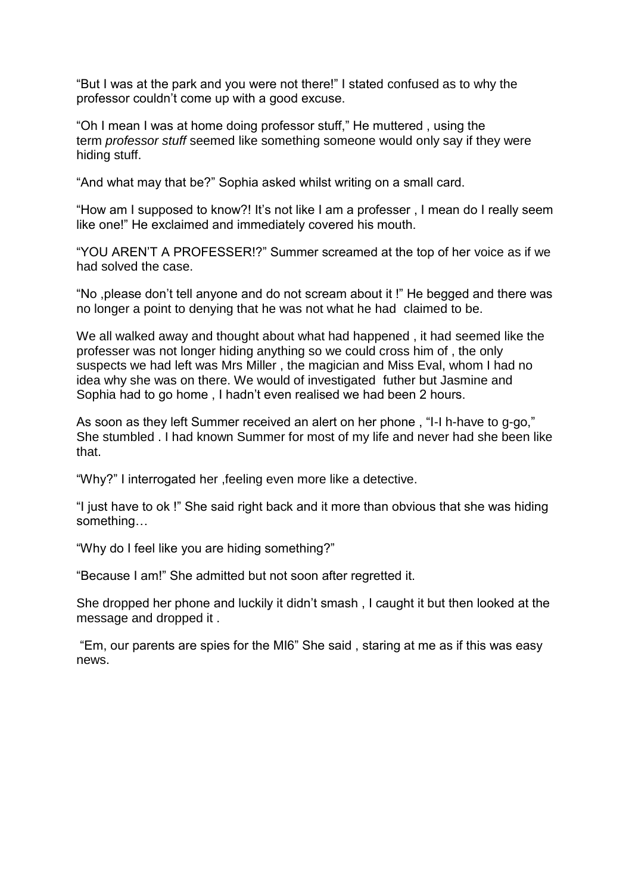"But I was at the park and you were not there!" I stated confused as to why the professor couldn't come up with a good excuse.

"Oh I mean I was at home doing professor stuff," He muttered , using the term *professor stuff* seemed like something someone would only say if they were hiding stuff.

"And what may that be?" Sophia asked whilst writing on a small card.

"How am I supposed to know?! It's not like I am a professer , I mean do I really seem like one!" He exclaimed and immediately covered his mouth.

"YOU AREN'T A PROFESSER!?" Summer screamed at the top of her voice as if we had solved the case.

"No ,please don't tell anyone and do not scream about it !" He begged and there was no longer a point to denying that he was not what he had claimed to be.

We all walked away and thought about what had happened , it had seemed like the professer was not longer hiding anything so we could cross him of , the only suspects we had left was Mrs Miller , the magician and Miss Eval, whom I had no idea why she was on there. We would of investigated futher but Jasmine and Sophia had to go home , I hadn't even realised we had been 2 hours.

As soon as they left Summer received an alert on her phone , "I-I h-have to g-go," She stumbled . I had known Summer for most of my life and never had she been like that.

"Why?" I interrogated her ,feeling even more like a detective.

"I just have to ok !" She said right back and it more than obvious that she was hiding something…

"Why do I feel like you are hiding something?"

"Because I am!" She admitted but not soon after regretted it.

She dropped her phone and luckily it didn't smash , I caught it but then looked at the message and dropped it .

"Em, our parents are spies for the MI6" She said , staring at me as if this was easy news.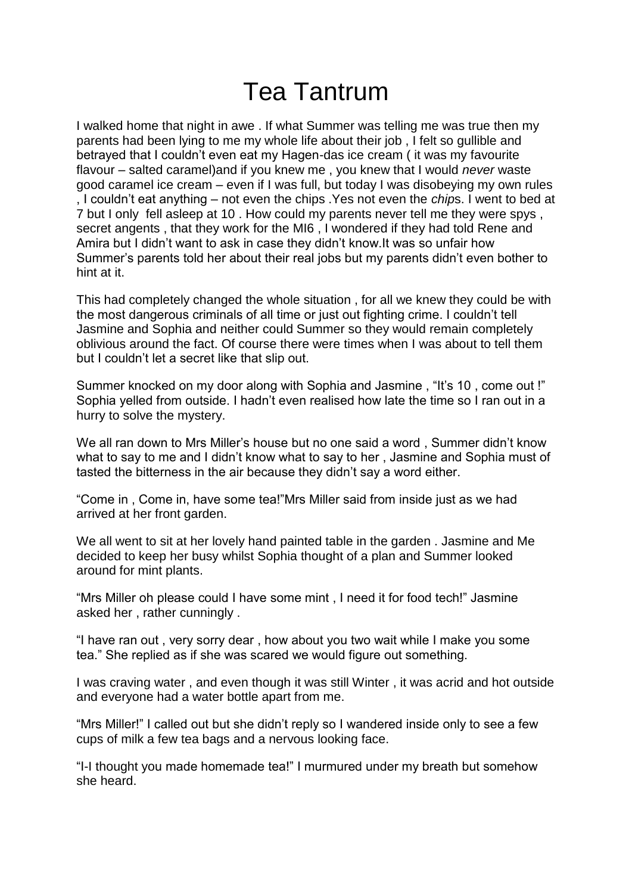### Tea Tantrum

I walked home that night in awe . If what Summer was telling me was true then my parents had been lying to me my whole life about their job , I felt so gullible and betrayed that I couldn't even eat my Hagen-das ice cream ( it was my favourite flavour – salted caramel)and if you knew me , you knew that I would *never* waste good caramel ice cream – even if I was full, but today I was disobeying my own rules , I couldn't eat anything – not even the chips .Yes not even the *chip*s. I went to bed at 7 but I only fell asleep at 10 . How could my parents never tell me they were spys , secret angents , that they work for the MI6 , I wondered if they had told Rene and Amira but I didn't want to ask in case they didn't know.It was so unfair how Summer's parents told her about their real jobs but my parents didn't even bother to hint at it.

This had completely changed the whole situation , for all we knew they could be with the most dangerous criminals of all time or just out fighting crime. I couldn't tell Jasmine and Sophia and neither could Summer so they would remain completely oblivious around the fact. Of course there were times when I was about to tell them but I couldn't let a secret like that slip out.

Summer knocked on my door along with Sophia and Jasmine , "It's 10 , come out !" Sophia yelled from outside. I hadn't even realised how late the time so I ran out in a hurry to solve the mystery.

We all ran down to Mrs Miller's house but no one said a word , Summer didn't know what to say to me and I didn't know what to say to her , Jasmine and Sophia must of tasted the bitterness in the air because they didn't say a word either.

"Come in , Come in, have some tea!"Mrs Miller said from inside just as we had arrived at her front garden.

We all went to sit at her lovely hand painted table in the garden . Jasmine and Me decided to keep her busy whilst Sophia thought of a plan and Summer looked around for mint plants.

"Mrs Miller oh please could I have some mint , I need it for food tech!" Jasmine asked her , rather cunningly .

"I have ran out , very sorry dear , how about you two wait while I make you some tea." She replied as if she was scared we would figure out something.

I was craving water , and even though it was still Winter , it was acrid and hot outside and everyone had a water bottle apart from me.

"Mrs Miller!" I called out but she didn't reply so I wandered inside only to see a few cups of milk a few tea bags and a nervous looking face.

"I-I thought you made homemade tea!" I murmured under my breath but somehow she heard.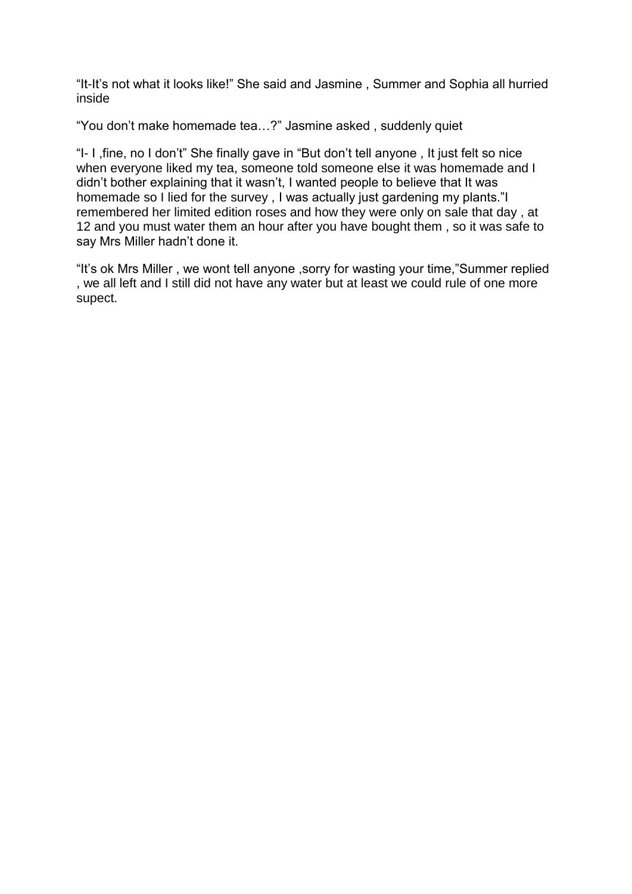"It-It's not what it looks like!" She said and Jasmine , Summer and Sophia all hurried inside

"You don't make homemade tea…?" Jasmine asked , suddenly quiet

"I- I ,fine, no I don't" She finally gave in "But don't tell anyone , It just felt so nice when everyone liked my tea, someone told someone else it was homemade and I didn't bother explaining that it wasn't, I wanted people to believe that It was homemade so I lied for the survey , I was actually just gardening my plants."I remembered her limited edition roses and how they were only on sale that day , at 12 and you must water them an hour after you have bought them , so it was safe to say Mrs Miller hadn't done it.

"It's ok Mrs Miller , we wont tell anyone ,sorry for wasting your time,"Summer replied , we all left and I still did not have any water but at least we could rule of one more supect.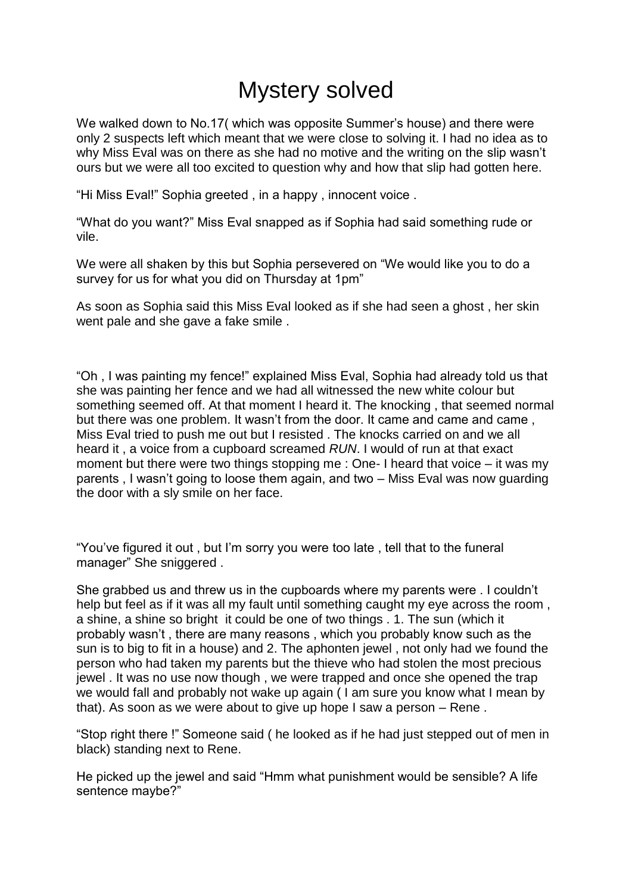#### Mystery solved

We walked down to No.17( which was opposite Summer's house) and there were only 2 suspects left which meant that we were close to solving it. I had no idea as to why Miss Eval was on there as she had no motive and the writing on the slip wasn't ours but we were all too excited to question why and how that slip had gotten here.

"Hi Miss Eval!" Sophia greeted , in a happy , innocent voice .

"What do you want?" Miss Eval snapped as if Sophia had said something rude or vile.

We were all shaken by this but Sophia persevered on "We would like you to do a survey for us for what you did on Thursday at 1pm"

As soon as Sophia said this Miss Eval looked as if she had seen a ghost , her skin went pale and she gave a fake smile .

"Oh , I was painting my fence!" explained Miss Eval, Sophia had already told us that she was painting her fence and we had all witnessed the new white colour but something seemed off. At that moment I heard it. The knocking , that seemed normal but there was one problem. It wasn't from the door. It came and came and came , Miss Eval tried to push me out but I resisted . The knocks carried on and we all heard it , a voice from a cupboard screamed *RUN*. I would of run at that exact moment but there were two things stopping me : One- I heard that voice – it was my parents , I wasn't going to loose them again, and two – Miss Eval was now guarding the door with a sly smile on her face.

"You've figured it out , but I'm sorry you were too late , tell that to the funeral manager" She sniggered .

She grabbed us and threw us in the cupboards where my parents were . I couldn't help but feel as if it was all my fault until something caught my eye across the room , a shine, a shine so bright it could be one of two things . 1. The sun (which it probably wasn't , there are many reasons , which you probably know such as the sun is to big to fit in a house) and 2. The aphonten jewel , not only had we found the person who had taken my parents but the thieve who had stolen the most precious jewel . It was no use now though , we were trapped and once she opened the trap we would fall and probably not wake up again ( I am sure you know what I mean by that). As soon as we were about to give up hope I saw a person – Rene .

"Stop right there !" Someone said ( he looked as if he had just stepped out of men in black) standing next to Rene.

He picked up the jewel and said "Hmm what punishment would be sensible? A life sentence maybe?"